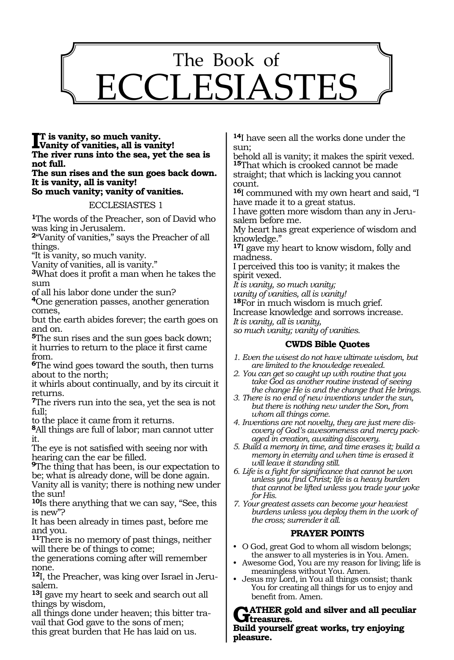

#### **I**T is vanity, so much vanity.<br>Vanity of vanities, all is vanity. **Vanity of vanities, all is vanity! The river runs into the sea, yet the sea is not full.**

#### **The sun rises and the sun goes back down. It is vanity, all is vanity! So much vanity; vanity of vanities.**

ECCLESIASTES 1

**<sup>1</sup>**The words of the Preacher, son of David who was king in Jerusalem.

**<sup>2</sup>**"Vanity of vanities," says the Preacher of all things.

"It is vanity, so much vanity.

Vanity of vanities, all is vanity."

**<sup>3</sup>**What does it profit a man when he takes the sum

of all his labor done under the sun?

**<sup>4</sup>**One generation passes, another generation comes,

but the earth abides forever; the earth goes on and on.

**<sup>5</sup>**The sun rises and the sun goes back down; it hurries to return to the place it first came from.

**<sup>6</sup>**The wind goes toward the south, then turns about to the north;

it whirls about continually, and by its circuit it returns.

**<sup>7</sup>**The rivers run into the sea, yet the sea is not full;

to the place it came from it returns.

**<sup>8</sup>**All things are full of labor; man cannot utter it.

The eye is not satisfied with seeing nor with hearing can the ear be filled.

**<sup>9</sup>**The thing that has been, is our expectation to be; what is already done, will be done again.

Vanity all is vanity; there is nothing new under the sun!

**<sup>10</sup>**Is there anything that we can say, "See, this is new"?

It has been already in times past, before me and you.

**<sup>11</sup>**There is no memory of past things, neither will there be of things to come;

the generations coming after will remember none.

**12**I, the Preacher, was king over Israel in Jerusalem.

**<sup>13</sup>**I gave my heart to seek and search out all things by wisdom,

all things done under heaven; this bitter travail that God gave to the sons of men; this great burden that He has laid on us.

**<sup>14</sup>**I have seen all the works done under the sun;

behold all is vanity; it makes the spirit vexed. **<sup>15</sup>**That which is crooked cannot be made straight; that which is lacking you cannot count.

**<sup>16</sup>**I communed with my own heart and said, "I have made it to a great status.

I have gotten more wisdom than any in Jerusalem before me.

My heart has great experience of wisdom and knowledge."

**<sup>17</sup>**I gave my heart to know wisdom, folly and madness.

I perceived this too is vanity; it makes the spirit vexed.

*It is vanity, so much vanity;* 

*vanity of vanities, all is vanity!* 

**<sup>18</sup>**For in much wisdom is much grief.

Increase knowledge and sorrows increase.

*It is vanity, all is vanity,* 

*so much vanity; vanity of vanities.* 

#### **CWDS Bible Quotes**

- *1. Even the wisest do not have ultimate wisdom, but are limited to the knowledge revealed.*
- *2. You can get so caught up with routine that you take God as another routine instead of seeing the change He is and the change that He brings.*
- *3. There is no end of new inventions under the sun, but there is nothing new under the Son, from whom all things come.*
- *4. Inventions are not novelty, they are just mere discovery of God's awesomeness and mercy packaged in creation, awaiting discovery.*
- *5. Build a memory in time, and time erases it; build a memory in eternity and when time is erased it will leave it standing still.*

*6. Life is a fight for significance that cannot be won unless you find Christ; life is a heavy burden that cannot be lifted unless you trade your yoke for His.*

*7. Your greatest assets can become your heaviest burdens unless you deploy them in the work of the cross; surrender it all.*

## **PRAYER POINTS**

- O God, great God to whom all wisdom belongs; the answer to all mysteries is in You. Amen.
- Awesome God, You are my reason for living; life is meaningless without You. Amen.
- Jesus my Lord, in You all things consist; thank You for creating all things for us to enjoy and benefit from. Amen.

**ATHER gold and silver and all peculiar** *<u>Atreasures.</u>* **Build yourself great works, try enjoying pleasure.**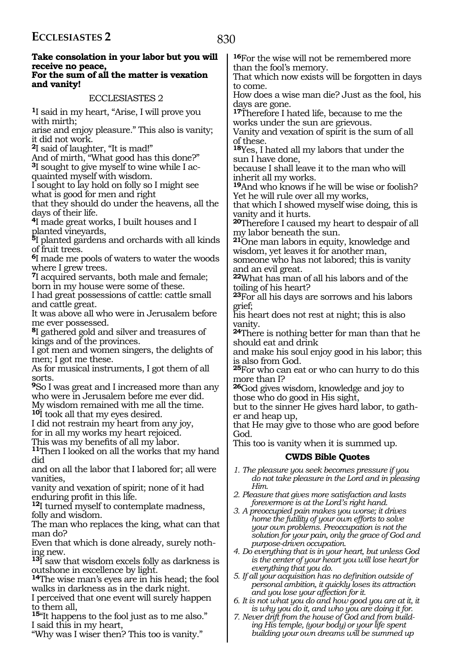| receive no peace,<br>than the fool's memory.<br>For the sum of all the matter is vexation<br>That which now exists will be forgotten in days<br>and vanity!<br>to come.<br>How does a wise man die? Just as the fool, his<br>ECCLESIASTES 2<br>days are gone.<br><sup>1</sup> I said in my heart, "Arise, I will prove you<br><sup>17</sup> Therefore I hated life, because to me the<br>with mirth:<br>works under the sun are grievous. |  |
|-------------------------------------------------------------------------------------------------------------------------------------------------------------------------------------------------------------------------------------------------------------------------------------------------------------------------------------------------------------------------------------------------------------------------------------------|--|
|                                                                                                                                                                                                                                                                                                                                                                                                                                           |  |
|                                                                                                                                                                                                                                                                                                                                                                                                                                           |  |
|                                                                                                                                                                                                                                                                                                                                                                                                                                           |  |
|                                                                                                                                                                                                                                                                                                                                                                                                                                           |  |
| arise and enjoy pleasure." This also is vanity;<br>Vanity and vexation of spirit is the sum of all                                                                                                                                                                                                                                                                                                                                        |  |
| it did not work.<br>of these.                                                                                                                                                                                                                                                                                                                                                                                                             |  |
| <sup>2</sup> I said of laughter, "It is mad!"<br><sup>18</sup> Yes, I hated all my labors that under the                                                                                                                                                                                                                                                                                                                                  |  |
| And of mirth, "What good has this done?"<br>sun I have done,                                                                                                                                                                                                                                                                                                                                                                              |  |
| <sup>3</sup> I sought to give myself to wine while I ac-<br>because I shall leave it to the man who will<br>quainted myself with wisdom.                                                                                                                                                                                                                                                                                                  |  |
| inherit all my works.<br>I sought to lay hold on folly so I might see<br><sup>19</sup> And who knows if he will be wise or foolish?                                                                                                                                                                                                                                                                                                       |  |
| what is good for men and right<br>Yet he will rule over all my works,                                                                                                                                                                                                                                                                                                                                                                     |  |
| that they should do under the heavens, all the<br>that which I showed myself wise doing, this is                                                                                                                                                                                                                                                                                                                                          |  |
| days of their life.<br>vanity and it hurts.                                                                                                                                                                                                                                                                                                                                                                                               |  |
| <sup>4</sup> I made great works, I built houses and I<br><b>20</b> Therefore I caused my heart to despair of all<br>planted vineyards,                                                                                                                                                                                                                                                                                                    |  |
| my labor beneath the sun.<br><sup>5</sup> I planted gardens and orchards with all kinds<br><sup>21</sup> One man labors in equity, knowledge and                                                                                                                                                                                                                                                                                          |  |
| of fruit trees.<br>wisdom, yet leaves it for another man,                                                                                                                                                                                                                                                                                                                                                                                 |  |
| <sup>6</sup> I made me pools of waters to water the woods<br>someone who has not labored; this is vanity                                                                                                                                                                                                                                                                                                                                  |  |
| where I grew trees.<br>and an evil great.                                                                                                                                                                                                                                                                                                                                                                                                 |  |
| 7I acquired servants, both male and female;<br><sup>22</sup> What has man of all his labors and of the<br>born in my house were some of these.                                                                                                                                                                                                                                                                                            |  |
| toiling of his heart?<br>I had great possessions of cattle: cattle small<br><sup>23</sup> For all his days are sorrows and his labors                                                                                                                                                                                                                                                                                                     |  |
| and cattle great.<br>griet;                                                                                                                                                                                                                                                                                                                                                                                                               |  |
| It was above all who were in Jerusalem before<br>his heart does not rest at night; this is also                                                                                                                                                                                                                                                                                                                                           |  |
| me ever possessed.<br>vanity.<br><sup>8</sup> I gathered gold and silver and treasures of                                                                                                                                                                                                                                                                                                                                                 |  |
| <b>24</b> There is nothing better for man than that he<br>kings and of the provinces.<br>should eat and drink                                                                                                                                                                                                                                                                                                                             |  |
| I got men and women singers, the delights of<br>and make his soul enjoy good in his labor; this                                                                                                                                                                                                                                                                                                                                           |  |
| men; I got me these.<br>is also from God.                                                                                                                                                                                                                                                                                                                                                                                                 |  |
| As for musical instruments, I got them of all<br>25For who can eat or who can hurry to do this                                                                                                                                                                                                                                                                                                                                            |  |
| sorts.<br>more than I?<br>9So I was great and I increased more than any                                                                                                                                                                                                                                                                                                                                                                   |  |
| <b>26</b> God gives wisdom, knowledge and joy to<br>who were in Jerusalem before me ever did.<br>those who do good in His sight,                                                                                                                                                                                                                                                                                                          |  |
| My wisdom remained with me all the time.<br>but to the sinner He gives hard labor, to gath-                                                                                                                                                                                                                                                                                                                                               |  |
| <sup>10</sup> I took all that my eyes desired.<br>er and heap up,                                                                                                                                                                                                                                                                                                                                                                         |  |
| I did not restrain my heart from any joy,<br>that He may give to those who are good before<br>for in all my works my heart rejoiced.                                                                                                                                                                                                                                                                                                      |  |
| God.<br>This was my benefits of all my labor.<br>This too is vanity when it is summed up.                                                                                                                                                                                                                                                                                                                                                 |  |
|                                                                                                                                                                                                                                                                                                                                                                                                                                           |  |
| <sup>11</sup> Then I looked on all the works that my hand                                                                                                                                                                                                                                                                                                                                                                                 |  |
| <b>CWDS Bible Quotes</b><br>did                                                                                                                                                                                                                                                                                                                                                                                                           |  |
| and on all the labor that I labored for; all were<br>1. The pleasure you seek becomes pressure if you<br>do not take pleasure in the Lord and in pleasing<br>vanities,                                                                                                                                                                                                                                                                    |  |
| Him.<br>vanity and vexation of spirit; none of it had                                                                                                                                                                                                                                                                                                                                                                                     |  |
| 2. Pleasure that gives more satisfaction and lasts<br>enduring profit in this life.                                                                                                                                                                                                                                                                                                                                                       |  |
| forevermore is at the Lord's right hand.<br><sup>12</sup> I turned myself to contemplate madness,<br>3. A preoccupied pain makes you worse; it drives                                                                                                                                                                                                                                                                                     |  |
| folly and wisdom.<br>home the futility of your own efforts to solve<br>The man who replaces the king, what can that                                                                                                                                                                                                                                                                                                                       |  |
| your own problems. Preoccupation is not the<br>man do?<br>solution for your pain, only the grace of God and                                                                                                                                                                                                                                                                                                                               |  |
| Even that which is done already, surely noth-<br>purpose-driven occupation.                                                                                                                                                                                                                                                                                                                                                               |  |
| 4. Do everything that is in your heart, but unless God<br>ing new.                                                                                                                                                                                                                                                                                                                                                                        |  |
| is the center of your heart you will lose heart for<br><sup>13</sup> I saw that wisdom excels folly as darkness is<br>everything that you do.<br>outshone in excellence by light.                                                                                                                                                                                                                                                         |  |
| 5. If all your acquisition has no definition outside of<br><sup>14</sup> The wise man's eyes are in his head; the fool                                                                                                                                                                                                                                                                                                                    |  |
| personal ambition, it quickly loses its attraction<br>walks in darkness as in the dark night.<br>and you lose your affection for it.                                                                                                                                                                                                                                                                                                      |  |
| I perceived that one event will surely happen<br>6. It is not what you do and how good you are at it, it                                                                                                                                                                                                                                                                                                                                  |  |
| to them all,<br>is why you do it, and who you are doing it for.                                                                                                                                                                                                                                                                                                                                                                           |  |
| <sup>15"</sup> It happens to the fool just as to me also."<br>7. Never drift from the house of God and from build-<br>I said this in my heart,<br>ing His temple, (your body) or your life spent<br>building your own dreams will be summed up<br>"Why was I wiser then? This too is vanity."                                                                                                                                             |  |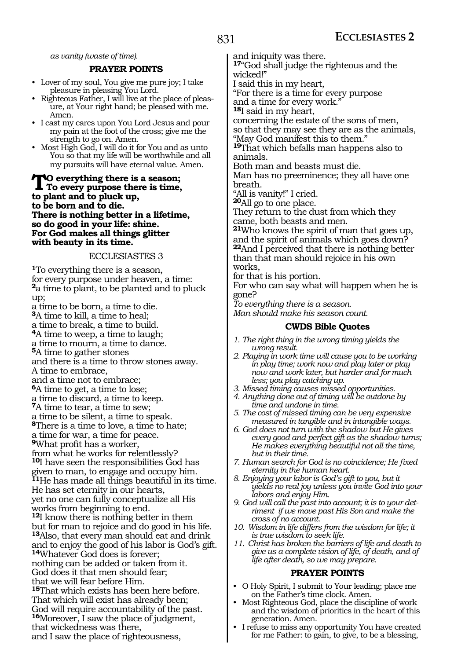*as vanity (waste of time).*

#### **PRAYER POINTS**

- Lover of my soul, You give me pure joy; I take pleasure in pleasing You Lord.
- Righteous Father, I will live at the place of pleasure, at Your right hand; be pleased with me. Amen.
- I cast my cares upon You Lord Jesus and pour my pain at the foot of the cross; give me the strength to go on. Amen.
- Most High God, I will do it for You and as unto You so that my life will be worthwhile and all my pursuits will have eternal value. Amen.

**To everything there is a season; To every purpose there is time, to plant and to pluck up, to be born and to die. There is nothing better in a lifetime, so do good in your life: shine. For God makes all things glitter with beauty in its time.**

#### ECCLESIASTES 3

**<sup>1</sup>**To everything there is a season, for every purpose under heaven, a time: **<sup>2</sup>**a time to plant, to be planted and to pluck up; a time to be born, a time to die. **<sup>3</sup>**A time to kill, a time to heal; a time to break, a time to build. **<sup>4</sup>**A time to weep, a time to laugh; a time to mourn, a time to dance. **<sup>5</sup>**A time to gather stones and there is a time to throw stones away. A time to embrace, and a time not to embrace; **<sup>6</sup>**A time to get, a time to lose; a time to discard, a time to keep. **<sup>7</sup>**A time to tear, a time to sew; a time to be silent, a time to speak. **<sup>8</sup>**There is a time to love, a time to hate; a time for war, a time for peace. **<sup>9</sup>**What profit has a worker, from what he works for relentlessly? **<sup>10</sup>**I have seen the responsibilities God has given to man, to engage and occupy him. **<sup>11</sup>**He has made all things beautiful in its time. He has set eternity in our hearts, yet no one can fully conceptualize all His works from beginning to end. **<sup>12</sup>**I know there is nothing better in them but for man to rejoice and do good in his life. **<sup>13</sup>**Also, that every man should eat and drink and to enjoy the good of his labor is God's gift. **<sup>14</sup>**Whatever God does is forever; nothing can be added or taken from it. God does it that men should fear; that we will fear before Him. **<sup>15</sup>**That which exists has been here before. That which will exist has already been; God will require accountability of the past. **<sup>16</sup>**Moreover, I saw the place of judgment, that wickedness was there, and I saw the place of righteousness,

and iniquity was there.

**<sup>17</sup>**"God shall judge the righteous and the wicked!"

I said this in my heart,

"For there is a time for every purpose and a time for every work."

**<sup>18</sup>**I said in my heart,

concerning the estate of the sons of men, so that they may see they are as the animals, "May God manifest this to them."

**<sup>19</sup>**That which befalls man happens also to animals.

Both man and beasts must die.

Man has no preeminence; they all have one breath.

"All is vanity!" I cried.

**<sup>20</sup>**All go to one place.

They return to the dust from which they came, both beasts and men.

**<sup>21</sup>**Who knows the spirit of man that goes up, and the spirit of animals which goes down? **<sup>22</sup>**And I perceived that there is nothing better than that man should rejoice in his own works,

for that is his portion.

For who can say what will happen when he is gone?

*To everything there is a season.* 

*Man should make his season count.* 

#### **CWDS Bible Quotes**

- *1. The right thing in the wrong timing yields the wrong result.*
- *2. Playing in work time will cause you to be working in play time; work now and play later or play now and work later, but harder and for much less; you play catching up.*
- *3. Missed timing causes missed opportunities.*
- *4. Anything done out of timing will be outdone by time and undone in time.*
- *5. The cost of missed timing can be very expensive measured in tangible and in intangible ways.*
- *6. God does not turn with the shadow but He gives every good and perfect gift as the shadow turns; He makes everything beautiful not all the time, but in their time.*
- *7. Human search for God is no coincidence; He fixed eternity in the human heart.*
- *8. Enjoying your labor is God's gift to you, but it yields no real joy unless you invite God into your labors and enjoy Him.*
- *9. God will call the past into account; it is to your detriment if we move past His Son and make the cross of no account.*
- *10. Wisdom in life differs from the wisdom for life; it is true wisdom to seek life.*
- *11. Christ has broken the barriers of life and death to give us a complete vision of life, of death, and of life after death, so we may prepare.*

#### **PRAYER POINTS**

- O Holy Spirit, I submit to Your leading; place me on the Father's time clock. Amen.
- Most Righteous God, place the discipline of work and the wisdom of priorities in the heart of this generation. Amen.
- I refuse to miss any opportunity You have created for me Father: to gain, to give, to be a blessing,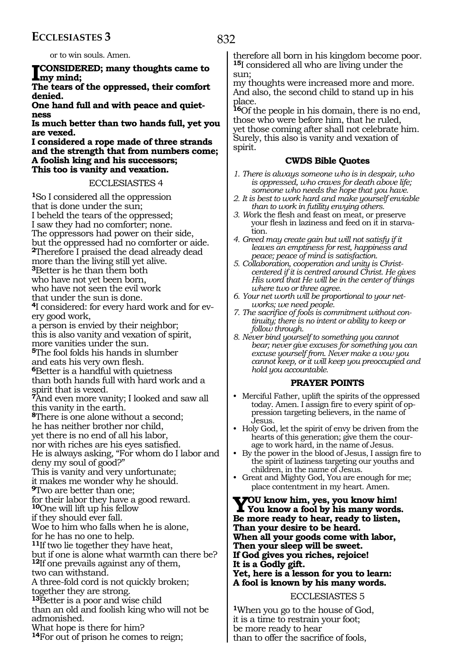# **ECCLESIASTES 3**

or to win souls. Amen.

**I cONSIDERED; many thoughts came to my mind;** 

**The tears of the oppressed, their comfort denied.** 

**One hand full and with peace and quietness** 

**Is much better than two hands full, yet you are vexed.** 

**I considered a rope made of three strands and the strength that from numbers come; A foolish king and his successors; This too is vanity and vexation.** 

#### ECCLESIASTES 4

**<sup>1</sup>**So I considered all the oppression that is done under the sun; I beheld the tears of the oppressed; I saw they had no comforter; none. The oppressors had power on their side, but the oppressed had no comforter or aide. **<sup>2</sup>**Therefore I praised the dead already dead more than the living still yet alive. **<sup>3</sup>**Better is he than them both who have not yet been born, who have not seen the evil work that under the sun is done. **4**I considered: for every hard work and for every good work, a person is envied by their neighbor; this is also vanity and vexation of spirit, more vanities under the sun. **<sup>5</sup>**The fool folds his hands in slumber and eats his very own flesh. **<sup>6</sup>**Better is a handful with quietness than both hands full with hard work and a spirit that is vexed. **<sup>7</sup>**And even more vanity; I looked and saw all this vanity in the earth. **<sup>8</sup>**There is one alone without a second; he has neither brother nor child, yet there is no end of all his labor, nor with riches are his eyes satisfied. He is always asking, "For whom do I labor and deny my soul of good?" This is vanity and very unfortunate; it makes me wonder why he should. **<sup>9</sup>**Two are better than one; for their labor they have a good reward. **<sup>10</sup>**One will lift up his fellow if they should ever fall. Woe to him who falls when he is alone, for he has no one to help. **<sup>11</sup>**If two lie together they have heat, but if one is alone what warmth can there be? **<sup>12</sup>**If one prevails against any of them, two can withstand. A three-fold cord is not quickly broken; together they are strong. **<sup>13</sup>**Better is a poor and wise child than an old and foolish king who will not be admonished. What hope is there for him? **<sup>14</sup>**For out of prison he comes to reign;

therefore all born in his kingdom become poor. **<sup>15</sup>**I considered all who are living under the sun;

my thoughts were increased more and more. And also, the second child to stand up in his place.

**<sup>16</sup>**Of the people in his domain, there is no end, those who were before him, that he ruled, yet those coming after shall not celebrate him. Surely, this also is vanity and vexation of spirit.

#### **CWDS Bible Quotes**

- *1. There is always someone who is in despair, who is oppressed, who craves for death above life; someone who needs the hope that you have.*
- *2. It is best to work hard and make yourself enviable than to work in futility envying others.*
- *3. W*ork the flesh and feast on meat, or preserve your flesh in laziness and feed on it in starvation.
- *4. Greed may create gain but will not satisfy if it leaves an emptiness for rest, happiness and peace; peace of mind is satisfaction.*
- *5. Collaboration, cooperation and unity is Christcentered if it is centred around Christ. He gives His word that He will be in the center of things where two or three agree.*
- *6. Your net worth will be proportional to your networks; we need people.*
- *7. The sacrifice of fools is commitment without continuity; there is no intent or ability to keep or follow through.*
- *8. Never bind yourself to something you cannot bear; never give excuses for something you can excuse yourself from. Never make a vow you cannot keep, or it will keep you preoccupied and hold you accountable.*

#### **PRAYER POINTS**

- Merciful Father, uplift the spirits of the oppressed today. Amen. I assign fire to every spirit of oppression targeting believers, in the name of Jesus.
- Holy God, let the spirit of envy be driven from the hearts of this generation; give them the courage to work hard, in the name of Jesus.
- By the power in the blood of Jesus, I assign fire to the spirit of laziness targeting our youths and children, in the name of Jesus.
- Great and Mighty God, You are enough for me; place contentment in my heart. Amen.

**You know him, yes, you know him! You know a fool by his many words. Be more ready to hear, ready to listen, Than your desire to be heard. When all your goods come with labor, Then your sleep will be sweet. If God gives you riches, rejoice! It is a Godly gift. Yet, here is a lesson for you to learn: A fool is known by his many words.** 

#### ECCLESIASTES 5

**<sup>1</sup>**When you go to the house of God, it is a time to restrain your foot; be more ready to hear than to offer the sacrifice of fools,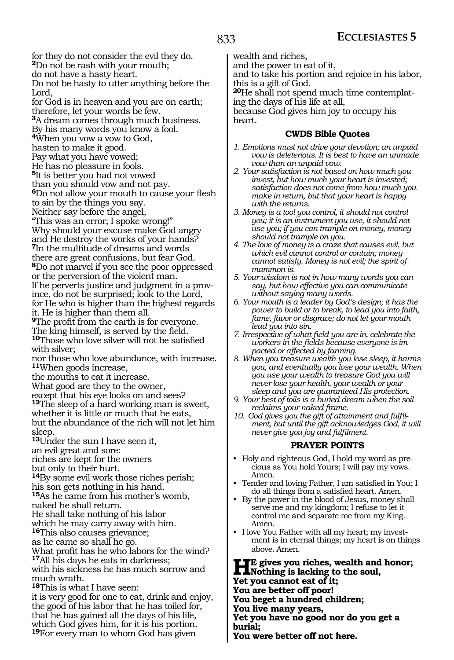for they do not consider the evil they do. **<sup>2</sup>**Do not be rash with your mouth; do not have a hasty heart. Do not be hasty to utter anything before the Lord, for God is in heaven and you are on earth; therefore, let your words be few. **<sup>3</sup>**A dream comes through much business. By his many words you know a fool. **<sup>4</sup>**When you vow a vow to God, hasten to make it good. Pay what you have vowed; He has no pleasure in fools. **<sup>5</sup>**It is better you had not vowed than you should vow and not pay. **<sup>6</sup>**Do not allow your mouth to cause your flesh to sin by the things you say. Neither say before the angel, "This was an error; I spoke wrong!" Why should your excuse make God angry and He destroy the works of your hands? **<sup>7</sup>**In the multitude of dreams and words there are great confusions, but fear God. **<sup>8</sup>**Do not marvel if you see the poor oppressed or the perversion of the violent man. If he perverts justice and judgment in a province, do not be surprised; look to the Lord, for He who is higher than the highest regards it. He is higher than them all. **<sup>9</sup>**The profit from the earth is for everyone. The king himself, is served by the field. **<sup>10</sup>**Those who love silver will not be satisfied with silver; nor those who love abundance, with increase. **<sup>11</sup>**When goods increase, the mouths to eat it increase. What good are they to the owner, except that his eye looks on and sees? **<sup>12</sup>**The sleep of a hard working man is sweet, whether it is little or much that he eats, but the abundance of the rich will not let him sleep. **<sup>13</sup>**Under the sun I have seen it, an evil great and sore: riches are kept for the owners but only to their hurt. **<sup>14</sup>**By some evil work those riches perish; his son gets nothing in his hand. **<sup>15</sup>**As he came from his mother's womb, naked he shall return. He shall take nothing of his labor which he may carry away with him. **<sup>16</sup>**This also causes grievance; as he came so shall he go. What profit has he who labors for the wind? **<sup>17</sup>**All his days he eats in darkness; with his sickness he has much sorrow and much wrath. **<sup>18</sup>**This is what I have seen: it is very good for one to eat, drink and enjoy, the good of his labor that he has toiled for, that he has gained all the days of his life,

which God gives him, for it is his portion. **<sup>19</sup>**For every man to whom God has given

wealth and riches,

and the power to eat of it,

and to take his portion and rejoice in his labor, this is a gift of God.

**20**He shall not spend much time contemplating the days of his life at all,

because God gives him joy to occupy his heart.

#### **CWDS Bible Quotes**

- *1. Emotions must not drive your devotion; an unpaid vow is deleterious. It is best to have an unmade vow than an unpaid vow.*
- *2. Your satisfaction is not based on how much you invest, but how much your heart is invested; satisfaction does not come from how much you make in return, but that your heart is happy with the returns.*
- *3. Money is a tool you control, it should not control you; it is an instrument you use, it should not use you; if you can trample on money, money should not trample on you.*
- *4. The love of money is a craze that causes evil, but which evil cannot control or contain; money cannot satisfy. Money is not evil; the spirit of mammon is.*
- *5. Your wisdom is not in how many words you can say, but how effective you can communicate without saying many words.*
- *6. Your mouth is a leader by God's design; it has the power to build or to break, to lead you into faith, fame, favor or disgrace; do not let your mouth lead you into sin.*
- *7. Irrespective of what field you are in, celebrate the workers in the fields because everyone is impacted or affected by farming.*
- *8. When you treasure wealth you lose sleep, it harms you, and eventually you lose your wealth. When you use your wealth to treasure God you will never lose your health, your wealth or your sleep and you are guaranteed His protection.*
- *9. Your best of toils is a buried dream when the soil reclaims your naked frame.*
- *10. God gives you the gift of attainment and fulfilment, but until the gift acknowledges God, it will never give you joy and fulfilment.*

#### **PRAYER POINTS**

- Holy and righteous God, I hold my word as precious as You hold Yours; I will pay my vows. Amen.
- Tender and loving Father, I am satisfied in You; I do all things from a satisfied heart. Amen.
- By the power in the blood of Jesus, money shall serve me and my kingdom; I refuse to let it control me and separate me from my King. Amen.
- I love You Father with all my heart; my investment is in eternal things; my heart is on things above. Amen.

**HE gives you riches, wealth and honor;**<br>We use and the soul,<br>We use and the soul, **Yet you cannot eat of it; You are better off poor!**

**You beget a hundred children;**

**You live many years,**

**Yet you have no good nor do you get a burial;**

**You were better off not here.**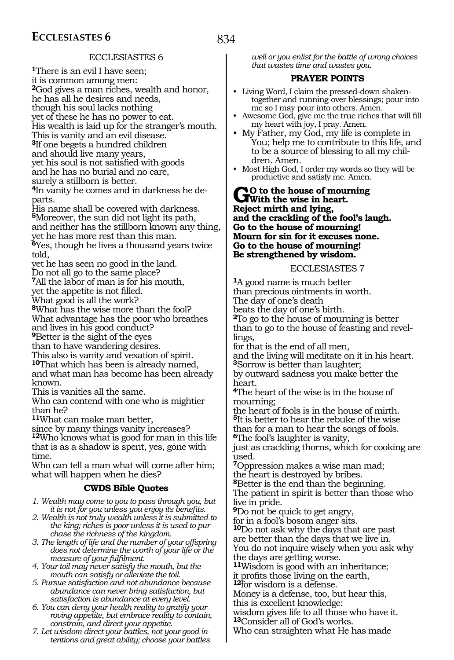# ECCLESIASTES 6

**<sup>1</sup>**There is an evil I have seen; it is common among men: **<sup>2</sup>**God gives a man riches, wealth and honor, he has all he desires and needs, though his soul lacks nothing yet of these he has no power to eat. His wealth is laid up for the stranger's mouth. This is vanity and an evil disease. **<sup>3</sup>**If one begets a hundred children and should live many years, yet his soul is not satisfied with goods and he has no burial and no care, surely a stillborn is better. **4**In vanity he comes and in darkness he departs. His name shall be covered with darkness. **<sup>5</sup>**Moreover, the sun did not light its path, and neither has the stillborn known any thing,

yet he has more rest than this man. **<sup>6</sup>**Yes, though he lives a thousand years twice told,

yet he has seen no good in the land.

Do not all go to the same place?

**<sup>7</sup>**All the labor of man is for his mouth, yet the appetite is not filled.

What good is all the work?

**<sup>8</sup>**What has the wise more than the fool? What advantage has the poor who breathes

and lives in his good conduct?

**<sup>9</sup>**Better is the sight of the eyes

than to have wandering desires.

This also is vanity and vexation of spirit. **<sup>10</sup>**That which has been is already named, and what man has become has been already known.

This is vanities all the same.

Who can contend with one who is mightier than he?

**<sup>11</sup>**What can make man better,

since by many things vanity increases? **<sup>12</sup>**Who knows what is good for man in this life that is as a shadow is spent, yes, gone with time.

Who can tell a man what will come after him; what will happen when he dies?

# **CWDS Bible Quotes**

*1. Wealth may come to you to pass through you, but it is not for you unless you enjoy its benefits.*

*2. Wealth is not truly wealth unless it is submitted to the king; riches is poor unless it is used to purchase the richness of the kingdom.*

*3. The length of life and the number of your offspring does not determine the worth of your life or the measure of your fulfilment.*

*4. Your toil may never satisfy the mouth, but the mouth can satisfy or alleviate the toil.*

*5. Pursue satisfaction and not abundance because abundance can never bring satisfaction, but satisfaction is abundance at every level.*

*6. You can deny your health reality to gratify your roving appetite, but embrace reality to contain, constrain, and direct your appetite.*

*7. Let wisdom direct your battles, not your good intentions and great ability; choose your battles* 

*well or you enlist for the battle of wrong choices that wastes time and wastes you.*

# **PRAYER POINTS**

- Living Word, I claim the pressed-down shakentogether and running-over blessings; pour into me so I may pour into others. Amen.
- Awesome God, give me the true riches that will fill my heart with joy, I pray. Amen.
- My Father, my God, my life is complete in You; help me to contribute to this life, and to be a source of blessing to all my chil-
- Most High God, I order my words so they will be productive and satisfy me. Amen.

**GO** to the house of mourning<br>
With the wise in heart. **Reject mirth and lying, and the crackling of the fool's laugh. Go to the house of mourning! Mourn for sin for it excuses none. Go to the house of mourning! Be strengthened by wisdom.** 

### ECCLESIASTES 7

**<sup>1</sup>**A good name is much better than precious ointments in worth. The day of one's death beats the day of one's birth. **<sup>2</sup>**To go to the house of mourning is better than to go to the house of feasting and revel- lings, for that is the end of all men, and the living will meditate on it in his heart.

**<sup>3</sup>**Sorrow is better than laughter;

by outward sadness you make better the heart.

**<sup>4</sup>**The heart of the wise is in the house of mourning;

the heart of fools is in the house of mirth. **<sup>5</sup>**It is better to hear the rebuke of the wise than for a man to hear the songs of fools. **<sup>6</sup>**The fool's laughter is vanity,

just as crackling thorns, which for cooking are used.

**<sup>7</sup>**Oppression makes a wise man mad; the heart is destroyed by bribes.

**<sup>8</sup>**Better is the end than the beginning. The patient in spirit is better than those who live in pride.

**<sup>9</sup>**Do not be quick to get angry,

for in a fool's bosom anger sits.

**<sup>10</sup>**Do not ask why the days that are past are better than the days that we live in. You do not inquire wisely when you ask why the days are getting worse.

**<sup>11</sup>**Wisdom is good with an inheritance;

12for wisdom is a defense.

Money is a defense, too, but hear this,

this is excellent knowledge:

wisdom gives life to all those who have it. **<sup>13</sup>**Consider all of God's works.

Who can straighten what He has made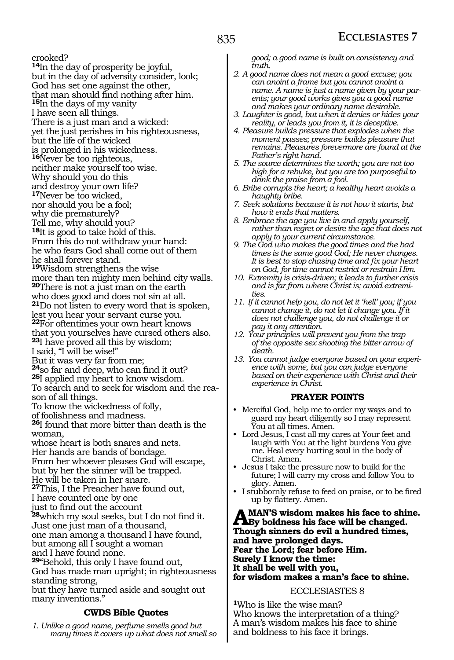crooked?

**<sup>14</sup>**In the day of prosperity be joyful, but in the day of adversity consider, look; God has set one against the other, that man should find nothing after him. **15**In the days of my vanity I have seen all things. There is a just man and a wicked: yet the just perishes in his righteousness, but the life of the wicked is prolonged in his wickedness. **<sup>16</sup>**Never be too righteous, neither make yourself too wise. Why should you do this and destroy your own life? **<sup>17</sup>**Never be too wicked, nor should you be a fool; why die prematurely? Tell me, why should you? **<sup>18</sup>**It is good to take hold of this. From this do not withdraw your hand: he who fears God shall come out of them he shall forever stand. **<sup>19</sup>**Wisdom strengthens the wise more than ten mighty men behind city walls. **<sup>20</sup>**There is not a just man on the earth who does good and does not sin at all. **<sup>21</sup>**Do not listen to every word that is spoken, lest you hear your servant curse you. **<sup>22</sup>**For oftentimes your own heart knows that you yourselves have cursed others also. **<sup>23</sup>**I have proved all this by wisdom; I said, "I will be wise!" But it was very far from me; **<sup>24</sup>**so far and deep, who can find it out? **<sup>25</sup>**I applied my heart to know wisdom. To search and to seek for wisdom and the reason of all things. To know the wickedness of folly, of foolishness and madness. **<sup>26</sup>**I found that more bitter than death is the woman, whose heart is both snares and nets. Her hands are bands of bondage. From her whoever pleases God will escape, but by her the sinner will be trapped. He will be taken in her snare. **<sup>27</sup>**This, I the Preacher have found out, I have counted one by one just to find out the account **<sup>28</sup>**which my soul seeks, but I do not find it. Just one just man of a thousand, one man among a thousand I have found, but among all I sought a woman and I have found none. **<sup>29</sup>**"Behold, this only I have found out, God has made man upright; in righteousness standing strong, but they have turned aside and sought out many inventions."

# **CWDS Bible Quotes**

*1. Unlike a good name, perfume smells good but many times it covers up what does not smell so*  *good; a good name is built on consistency and truth.* 

- *2. A good name does not mean a good excuse; you can anoint a frame but you cannot anoint a name. A name is just a name given by your parents; your good works gives you a good name and makes your ordinary name desirable.*
- *3. Laughter is good, but when it denies or hides your reality, or leads you from it, it is deceptive.*
- *4. Pleasure builds pressure that explodes when the moment passes; pressure builds pleasure that remains. Pleasures forevermore are found at the Father's right hand.*
- *5. The source determines the worth; you are not too high for a rebuke, but you are too purposeful to drink the praise from a fool.*
- *6. Bribe corrupts the heart; a healthy heart avoids a haughty bribe.*
- *7. Seek solutions because it is not how it starts, but how it ends that matters.*
- *8. Embrace the age you live in and apply yourself, rather than regret or desire the age that does not apply to your current circumstance.*
- *9. The God who makes the good times and the bad times is the same good God; He never changes. It is best to stop chasing time and fix your heart on God, for time cannot restrict or restrain Him.*
- *10. Extremity is crisis-driven; it leads to further crisis and is far from where Christ is; avoid extremities.*
- *11. If it cannot help you, do not let it 'hell' you; if you cannot change it, do not let it change you. If it does not challenge you, do not challenge it or pay it any attention.*
- *12. Your principles will prevent you from the trap of the opposite sex shooting the bitter arrow of death.*
- *13. You cannot judge everyone based on your experience with some, but you can judge everyone based on their experience with Christ and their experience in Christ.*

#### **PRAYER POINTS**

- Merciful God, help me to order my ways and to guard my heart diligently so I may represent You at all times. Amen.
- Lord Jesus, I cast all my cares at Your feet and laugh with You at the light burdens You give me. Heal every hurting soul in the body of Christ. Amen.
- Jesus I take the pressure now to build for the future; I will carry my cross and follow You to glory. Amen.
- I stubbornly refuse to feed on praise, or to be fired up by flattery. Amen.

**A MAN'S wisdom makes his face to shine.**<br> **By boldness his face will be changed.**<br> **Theurk sinners do suil a hundred times Though sinners do evil a hundred times, and have prolonged days. Fear the Lord; fear before Him. Surely I know the time: It shall be well with you, for wisdom makes a man's face to shine.**

#### ECCLESIASTES 8

**<sup>1</sup>**Who is like the wise man? Who knows the interpretation of a thing? A man's wisdom makes his face to shine and boldness to his face it brings.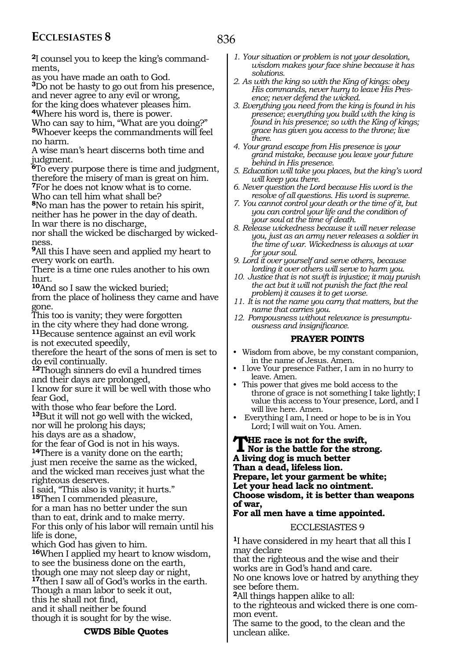**2**I counsel you to keep the king's commandments,

as you have made an oath to God.

**<sup>3</sup>**Do not be hasty to go out from his presence, and never agree to any evil or wrong,

for the king does whatever pleases him.

**<sup>4</sup>**Where his word is, there is power.

Who can say to him, "What are you doing?" **<sup>5</sup>**Whoever keeps the commandments will feel no harm.

A wise man's heart discerns both time and judgment.

**<sup>6</sup>**To every purpose there is time and judgment, therefore the misery of man is great on him.

**<sup>7</sup>**For he does not know what is to come.

Who can tell him what shall be?

**<sup>8</sup>**No man has the power to retain his spirit, neither has he power in the day of death. In war there is no discharge,

nor shall the wicked be discharged by wickedness.

**<sup>9</sup>**All this I have seen and applied my heart to every work on earth.

There is a time one rules another to his own hurt.

**<sup>10</sup>**And so I saw the wicked buried;

from the place of holiness they came and have gone.

This too is vanity; they were forgotten

in the city where they had done wrong.

**<sup>11</sup>**Because sentence against an evil work is not executed speedily,

therefore the heart of the sons of men is set to do evil continually.

**<sup>12</sup>**Though sinners do evil a hundred times and their days are prolonged,

I know for sure it will be well with those who fear God,

with those who fear before the Lord.

**<sup>13</sup>**But it will not go well with the wicked,

nor will he prolong his days;

his days are as a shadow,

for the fear of God is not in his ways.

**<sup>14</sup>**There is a vanity done on the earth;

just men receive the same as the wicked, and the wicked man receives just what the righteous deserves.

I said, "This also is vanity; it hurts." **<sup>15</sup>**Then I commended pleasure, for a man has no better under the sun

than to eat, drink and to make merry. For this only of his labor will remain until his

life is done, which God has given to him.

**<sup>16</sup>**When I applied my heart to know wisdom, to see the business done on the earth, though one may not sleep day or night, **<sup>17</sup>**then I saw all of God's works in the earth. Though a man labor to seek it out, this he shall not find, and it shall neither be found though it is sought for by the wise.

*1. Your situation or problem is not your desolation, wisdom makes your face shine because it has solutions.*

*2. As with the king so with the King of kings: obey His commands, never hurry to leave His Presence; never defend the wicked.*

- *3. Everything you need from the king is found in his presence; everything you build with the king is found in his presence; so with the King of kings; grace has given you access to the throne; live there.*
- *4. Your grand escape from His presence is your grand mistake, because you leave your future behind in His presence.*
- *5. Education will take you places, but the king's word will keep you there.*
- *6. Never question the Lord because His word is the resolve of all questions. His word is supreme.*
- *7. You cannot control your death or the time of it, but you can control your life and the condition of your soul at the time of death.*
- *8. Release wickedness because it will never release you, just as an army never releases a soldier in the time of war. Wickedness is always at war for your soul.*
- *9. Lord it over yourself and serve others, because lording it over others will serve to harm you.*
- *10. Justice that is not swift is injustice; it may punish the act but it will not punish the fact (the real problem) it causes it to get worse.*
- *11. It is not the name you carry that matters, but the name that carries you.*
- *12. Pompousness without relevance is presumptuousness and insignificance.*

## **PRAYER POINTS**

- Wisdom from above, be my constant companion, in the name of Jesus. Amen.
- I love Your presence Father, I am in no hurry to leave. Amen.
- This power that gives me bold access to the throne of grace is not something I take lightly; I value this access to Your presence, Lord, and I will live here. Amen.
- Everything I am, I need or hope to be is in You Lord; I will wait on You. Amen.

# **THE** race is not for the swift,<br>Nor is the battle for the strong. **A living dog is much better Than a dead, lifeless lion. Prepare, let your garment be white; Let your head lack no ointment. Choose wisdom, it is better than weapons of war,**

## **For all men have a time appointed.**

ECCLESIASTES 9

**<sup>1</sup>**I have considered in my heart that all this I may declare

that the righteous and the wise and their works are in God's hand and care.

No one knows love or hatred by anything they see before them.

**<sup>2</sup>**All things happen alike to all:

to the righteous and wicked there is one common event.

The same to the good, to the clean and the unclean alike.

#### **CWDS Bible Quotes**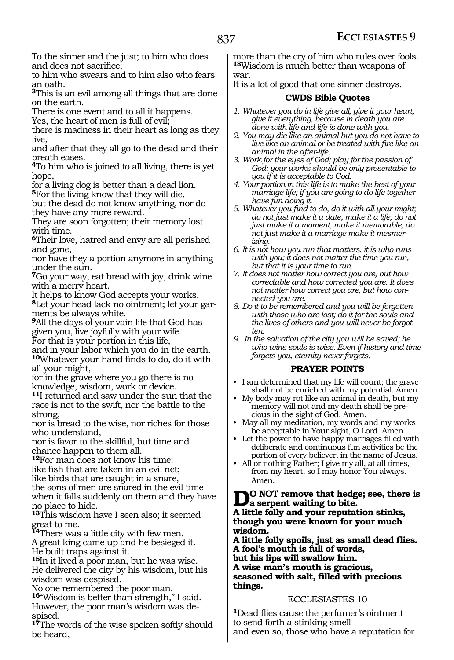To the sinner and the just; to him who does and does not sacrifice;

to him who swears and to him also who fears an oath.

**<sup>3</sup>**This is an evil among all things that are done on the earth.

There is one event and to all it happens.

Yes, the heart of men is full of evil;

there is madness in their heart as long as they live,

and after that they all go to the dead and their breath eases.

**<sup>4</sup>**To him who is joined to all living, there is yet hope,

for a living dog is better than a dead lion*.* **<sup>5</sup>**For the living know that they will die,

but the dead do not know anything, nor do they have any more reward.

They are soon forgotten; their memory lost with time.

**<sup>6</sup>**Their love, hatred and envy are all perished and gone,

nor have they a portion anymore in anything under the sun.

**<sup>7</sup>**Go your way, eat bread with joy, drink wine with a merry heart.

It helps to know God accepts your works. **8**Let your head lack no ointment; let your garments be always white.

**<sup>9</sup>**All the days of your vain life that God has given you, live joyfully with your wife.

For that is your portion in this life,

and in your labor which you do in the earth. **<sup>10</sup>**Whatever your hand finds to do, do it with all your might,

for in the grave where you go there is no knowledge, wisdom, work or device.

**<sup>11</sup>**I returned and saw under the sun that the race is not to the swift, nor the battle to the strong,

nor is bread to the wise, nor riches for those who understand,

nor is favor to the skillful, but time and chance happen to them all.

**<sup>12</sup>**For man does not know his time:

like fish that are taken in an evil net;

like birds that are caught in a snare, the sons of men are snared in the evil time

when it falls suddenly on them and they have no place to hide.

**<sup>13</sup>**This wisdom have I seen also; it seemed great to me.

**<sup>14</sup>**There was a little city with few men.

A great king came up and he besieged it. He built traps against it.

**<sup>15</sup>**In it lived a poor man, but he was wise. He delivered the city by his wisdom, but his wisdom was despised.

No one remembered the poor man.

**<sup>16</sup>**"Wisdom is better than strength," I said. However, the poor man's wisdom was despised.

**<sup>17</sup>**The words of the wise spoken softly should be heard,

more than the cry of him who rules over fools. **<sup>18</sup>**Wisdom is much better than weapons of war.

It is a lot of good that one sinner destroys.

# **CWDS Bible Quotes**

- *1. Whatever you do in life give all, give it your heart, give it everything, because in death you are done with life and life is done with you.*
- *2. You may die like an animal but you do not have to live like an animal or be treated with fire like an animal in the after-life.*
- *3. Work for the eyes of God; play for the passion of God; your works should be only presentable to you if it is acceptable to God.*
- *4. Your portion in this life is to make the best of your marriage life; if you are going to do life together have fun doing it.*
- *5. Whatever you find to do, do it with all your might; do not just make it a date, make it a life; do not just make it a moment, make it memorable; do not just make it a marriage make it mesmerizing.*
- *6. It is not how you run that matters, it is who runs with you; it does not matter the time you run, but that it is your time to run.*

*7. It does not matter how correct you are, but how correctable and how corrected you are. It does not matter how correct you are, but how connected you are.*

*8. Do it to be remembered and you will be forgotten with those who are lost; do it for the souls and the lives of others and you will never be forgotten.*

*9. In the salvation of the city you will be saved; he who wins souls is wise. Even if history and time forgets you, eternity never forgets.*

# **PRAYER POINTS**

- I am determined that my life will count; the grave shall not be enriched with my potential. Amen.
- My body may rot like an animal in death, but my memory will not and my death shall be precious in the sight of God. Amen.
- May all my meditation, my words and my works be acceptable in Your sight, O Lord. Amen.
- Let the power to have happy marriages filled with deliberate and continuous fun activities be the portion of every believer, in the name of Jesus.
- All or nothing Father; I give my all, at all times, from my heart, so I may honor You always. Amen.

**D**<sup>O</sup> NOT remove that hedge; see, there is <br> **A** little fills and may a generation stinks **A little folly and your reputation stinks,** 

**though you were known for your much wisdom.** 

**A little folly spoils, just as small dead flies. A fool's mouth is full of words, but his lips will swallow him. A wise man's mouth is gracious, seasoned with salt, filled with precious things.** 

## ECCLESIASTES 10

**<sup>1</sup>**Dead flies cause the perfumer's ointment to send forth a stinking smell and even so, those who have a reputation for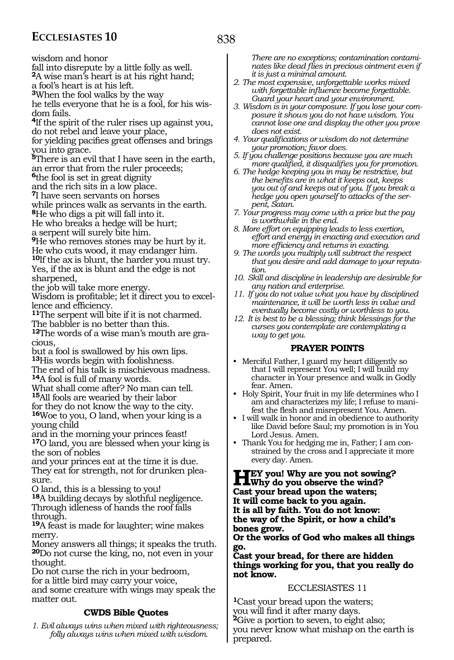wisdom and honor

fall into disrepute by a little folly as well.

**<sup>2</sup>**A wise man's heart is at his right hand;

a fool's heart is at his left.

**<sup>3</sup>**When the fool walks by the way

he tells everyone that he is a fool, for his wisdom fails.

**<sup>4</sup>**If the spirit of the ruler rises up against you, do not rebel and leave your place,

for yielding pacifies great offenses and brings you into grace.

**<sup>5</sup>**There is an evil that I have seen in the earth, an error that from the ruler proceeds;

**<sup>6</sup>**the fool is set in great dignity

and the rich sits in a low place.

**<sup>7</sup>**I have seen servants on horses while princes walk as servants in the earth.

**<sup>8</sup>**He who digs a pit will fall into it.

He who breaks a hedge will be hurt;

a serpent will surely bite him.

**<sup>9</sup>**He who removes stones may be hurt by it. He who cuts wood, it may endanger him.

**<sup>10</sup>**If the ax is blunt, the harder you must try. Yes, if the ax is blunt and the edge is not sharpened,

the job will take more energy.

Wisdom is profitable; let it direct you to excellence and efficiency.

**11**The serpent will bite if it is not charmed. The babbler is no better than this.

**12**The words of a wise man's mouth are gracious,

but a fool is swallowed by his own lips. **<sup>13</sup>**His words begin with foolishness.

The end of his talk is mischievous madness. **<sup>14</sup>**A fool is full of many words.

What shall come after? No man can tell. **<sup>15</sup>**All fools are wearied by their labor

for they do not know the way to the city. **<sup>16</sup>**Woe to you, O land, when your king is a young child

and in the morning your princes feast! **<sup>17</sup>**O land, you are blessed when your king is the son of nobles

and your princes eat at the time it is due. They eat for strength, not for drunken plea- sure.

O land, this is a blessing to you!

**<sup>18</sup>**A building decays by slothful negligence. Through idleness of hands the roof falls through.

**<sup>19</sup>**A feast is made for laughter; wine makes merry.

Money answers all things; it speaks the truth. **<sup>20</sup>**Do not curse the king, no, not even in your thought.

Do not curse the rich in your bedroom, for a little bird may carry your voice,

and some creature with wings may speak the matter out.

# **CWDS Bible Quotes**

*1. Evil always wins when mixed with righteousness; folly always wins when mixed with wisdom.* 

*There are no exceptions; contamination contaminates like dead flies in precious ointment even if it is just a minimal amount.*

*2. The most expensive, unforgettable works mixed with forgettable influence become forgettable. Guard your heart and your environment.*

*3. Wisdom is in your composure. If you lose your composure it shows you do not have wisdom. You cannot lose one and display the other you prove does not exist.*

*4. Your qualifications or wisdom do not determine your promotion; favor does.*

*5. If you challenge positions because you are much more qualified, it disqualifies you for promotion.*

*6. The hedge keeping you in may be restrictive, but the benefits are in what it keeps out, keeps you out of and keeps out of you. If you break a hedge you open yourself to attacks of the serpent, Satan.*

*7. Your progress may come with a price but the pay is worthwhile in the end.*

*8. More effort on equipping leads to less exertion, effort and energy in enacting and execution and more efficiency and returns in exacting.*

*9. The words you multiply will subtract the respect that you desire and add damage to your reputation.*

*10. Skill and discipline in leadership are desirable for any nation and enterprise.*

*11. If you do not value what you have by disciplined maintenance, it will be worth less in value and eventually become costly or worthless to you.*

*12. It is best to be a blessing; think blessings for the curses you contemplate are contemplating a way to get you.*

## **PRAYER POINTS**

• Merciful Father, I guard my heart diligently so that I will represent You well; I will build my character in Your presence and walk in Godly fear. Amen.

• Holy Spirit, Your fruit in my life determines who I am and characterizes my life; I refuse to manifest the flesh and misrepresent You. Amen.

• I will walk in honor and in obedience to authority like David before Saul; my promotion is in You Lord Jesus. Amen.

• Thank You for hedging me in, Father; I am constrained by the cross and I appreciate it more every day. Amen.

**Hey you! Why are you not sowing?**<br> **LWhy do you observe the wind?**<br> **Cast would be an about the window Cast your bread upon the waters; It will come back to you again. It is all by faith. You do not know: the way of the Spirit, or how a child's bones grow.** 

**Or the works of God who makes all things go.** 

**Cast your bread, for there are hidden things working for you, that you really do not know.** 

## ECCLESIASTES 11

**<sup>1</sup>**Cast your bread upon the waters; you will find it after many days. **2**Give a portion to seven, to eight also; you never know what mishap on the earth is prepared.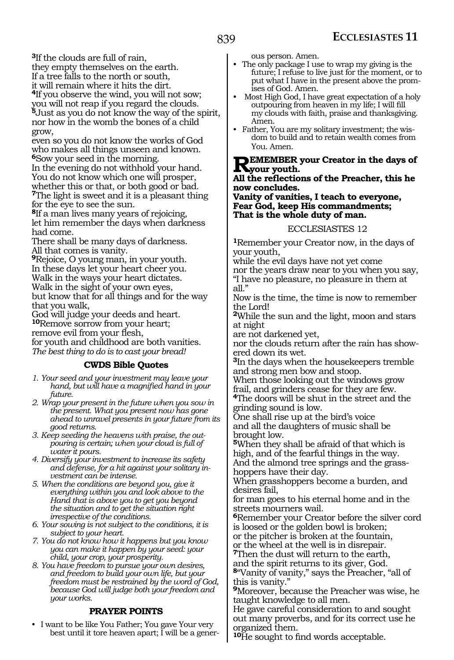**<sup>3</sup>**If the clouds are full of rain, they empty themselves on the earth.

If a tree falls to the north or south, it will remain where it hits the dirt.

**<sup>4</sup>**If you observe the wind, you will not sow; you will not reap if you regard the clouds. **<sup>5</sup>**Just as you do not know the way of the spirit, nor how in the womb the bones of a child grow,

even so you do not know the works of God who makes all things unseen and known. **<sup>6</sup>**Sow your seed in the morning.

In the evening do not withhold your hand. You do not know which one will prosper, whether this or that, or both good or bad. **<sup>7</sup>**The light is sweet and it is a pleasant thing for the eye to see the sun.

**<sup>8</sup>**If a man lives many years of rejoicing, let him remember the days when darkness had come.

There shall be many days of darkness. All that comes is vanity.

**<sup>9</sup>**Rejoice, O young man, in your youth. In these days let your heart cheer you. Walk in the ways your heart dictates. Walk in the sight of your own eyes, but know that for all things and for the way that you walk,

God will judge your deeds and heart. **<sup>10</sup>**Remove sorrow from your heart; remove evil from your flesh, for youth and childhood are both vanities.

*The best thing to do is to cast your bread!* 

## **CWDS Bible Quotes**

- *1. Your seed and your investment may leave your hand, but will have a magnified hand in your future.*
- *2. Wrap your present in the future when you sow in the present. What you present now has gone ahead to unravel presents in your future from its good returns.*
- *3. Keep seeding the heavens with praise, the outpouring is certain; when your cloud is full of water it pours.*
- *4. Diversify your investment to increase its safety and defense, for a hit against your solitary investment can be intense.*
- *5. When the conditions are beyond you, give it everything within you and look above to the Hand that is above you to get you beyond the situation and to get the situation right irrespective of the conditions.*
- *6. Your sowing is not subject to the conditions, it is subject to your heart.*
- *7. You do not know how it happens but you know you can make it happen by your seed: your child, your crop, your prosperity.*
- *8. You have freedom to pursue your own desires, and freedom to build your own life, but your freedom must be restrained by the word of God, because God will judge both your freedom and your works.*

# **PRAYER POINTS**

• I want to be like You Father; You gave Your very best until it tore heaven apart; I will be a generous person. Amen.

- The only package I use to wrap my giving is the future; I refuse to live just for the moment, or to put what I have in the present above the promises of God. Amen.
- Most High God, I have great expectation of a holy outpouring from heaven in my life; I will fill my clouds with faith, praise and thanksgiving. Amen.<br>• Father, You are my solitary investment; the wis-
- dom to build and to retain wealth comes from You. Amen.

### **REMEMBER your Creator in the days of K**your youth.

#### **All the reflections of the Preacher, this he now concludes.**

**Vanity of vanities, I teach to everyone, Fear God, keep His commandments; That is the whole duty of man.** 

#### ECCLESIASTES 12

**<sup>1</sup>**Remember your Creator now, in the days of your youth,

while the evil days have not yet come

nor the years draw near to you when you say, "I have no pleasure, no pleasure in them at all."

Now is the time, the time is now to remember the Lord!

**<sup>2</sup>**While the sun and the light, moon and stars at night

are not darkened yet,

nor the clouds return after the rain has showered down its wet.

**<sup>3</sup>**In the days when the housekeepers tremble and strong men bow and stoop.

When those looking out the windows grow frail, and grinders cease for they are few.

**<sup>4</sup>**The doors will be shut in the street and the grinding sound is low.

One shall rise up at the bird's voice and all the daughters of music shall be brought low.

**<sup>5</sup>**When they shall be afraid of that which is high, and of the fearful things in the way. And the almond tree springs and the grasshoppers have their day.

When grasshoppers become a burden, and desires fail,

for man goes to his eternal home and in the streets mourners wail.

**<sup>6</sup>**Remember your Creator before the silver cord is loosed or the golden bowl is broken;

or the pitcher is broken at the fountain,

or the wheel at the well is in disrepair. **<sup>7</sup>**Then the dust will return to the earth,

and the spirit returns to its giver, God.

**<sup>8</sup>**"Vanity of vanity," says the Preacher, "all of this is vanity."

**<sup>9</sup>**Moreover, because the Preacher was wise, he taught knowledge to all men.

He gave careful consideration to and sought out many proverbs, and for its correct use he organized them.

**<sup>10</sup>**He sought to find words acceptable.